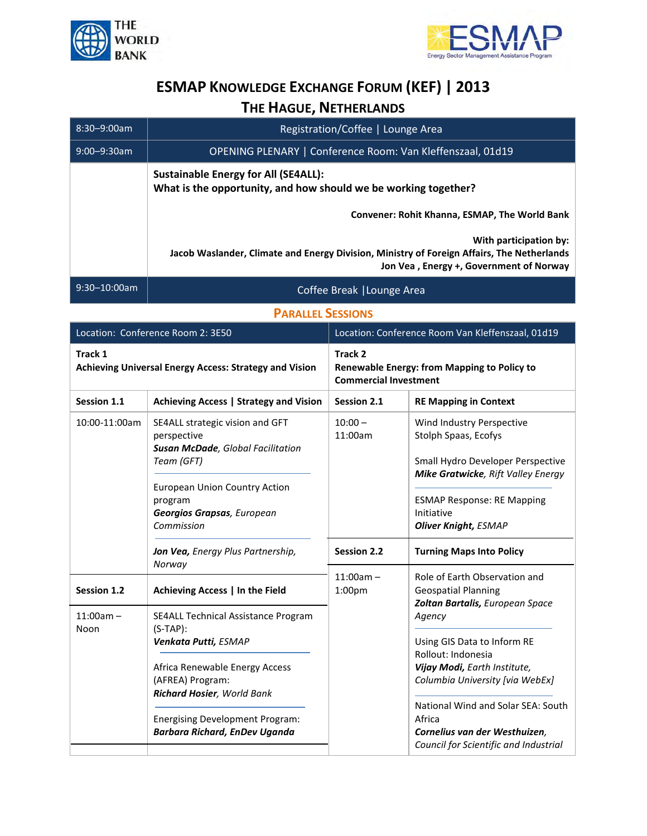



## **ESMAP KNOWLEDGE EXCHANGE FORUM (KEF) | 2013 THE HAGUE, NETHERLANDS**

| 8:30-9:00am       | Registration/Coffee   Lounge Area                                                                                                                                      |
|-------------------|------------------------------------------------------------------------------------------------------------------------------------------------------------------------|
| $9:00 - 9:30$ am  | OPENING PLENARY   Conference Room: Van Kleffenszaal, 01d19                                                                                                             |
|                   | <b>Sustainable Energy for All (SE4ALL):</b><br>What is the opportunity, and how should we be working together?<br><b>Convener: Rohit Khanna, ESMAP, The World Bank</b> |
|                   | With participation by:<br>Jacob Waslander, Climate and Energy Division, Ministry of Foreign Affairs, The Netherlands<br>Jon Vea, Energy +, Government of Norway        |
| $9:30 - 10:00$ am | Coffee Break   Lounge Area                                                                                                                                             |

**PARALLEL SESSIONS**

| Location: Conference Room 2: 3E50                                 |                                                                                                                                                                                                                                                  | Location: Conference Room Van Kleffenszaal, 01d19                                      |                                                                                                                                                                                                                                                                                                                                                            |
|-------------------------------------------------------------------|--------------------------------------------------------------------------------------------------------------------------------------------------------------------------------------------------------------------------------------------------|----------------------------------------------------------------------------------------|------------------------------------------------------------------------------------------------------------------------------------------------------------------------------------------------------------------------------------------------------------------------------------------------------------------------------------------------------------|
| Track 1<br>Achieving Universal Energy Access: Strategy and Vision |                                                                                                                                                                                                                                                  | Track 2<br>Renewable Energy: from Mapping to Policy to<br><b>Commercial Investment</b> |                                                                                                                                                                                                                                                                                                                                                            |
| Session 1.1                                                       | Achieving Access   Strategy and Vision                                                                                                                                                                                                           | Session 2.1                                                                            | <b>RE Mapping in Context</b>                                                                                                                                                                                                                                                                                                                               |
| 10:00-11:00am                                                     | SE4ALL strategic vision and GFT<br>perspective<br>Susan McDade, Global Facilitation<br>Team (GFT)<br><b>European Union Country Action</b><br>program<br>Georgios Grapsas, European<br>Commission                                                 | $10:00 -$<br>11:00am                                                                   | Wind Industry Perspective<br>Stolph Spaas, Ecofys<br>Small Hydro Developer Perspective<br>Mike Gratwicke, Rift Valley Energy<br><b>ESMAP Response: RE Mapping</b><br>Initiative<br><b>Oliver Knight, ESMAP</b>                                                                                                                                             |
|                                                                   | Jon Vea, Energy Plus Partnership,<br>Norway                                                                                                                                                                                                      | <b>Session 2.2</b>                                                                     | <b>Turning Maps Into Policy</b>                                                                                                                                                                                                                                                                                                                            |
| Session 1.2                                                       | Achieving Access   In the Field                                                                                                                                                                                                                  | $11:00am -$<br>1:00 <sub>pm</sub>                                                      | Role of Earth Observation and<br><b>Geospatial Planning</b><br>Zoltan Bartalis, European Space<br>Agency<br>Using GIS Data to Inform RE<br>Rollout: Indonesia<br>Vijay Modi, Earth Institute,<br>Columbia University [via WebEx]<br>National Wind and Solar SEA: South<br>Africa<br>Cornelius van der Westhuizen,<br>Council for Scientific and Industrial |
| $11:00am -$<br>Noon                                               | SE4ALL Technical Assistance Program<br>$(S-TAP)$ :<br>Venkata Putti, ESMAP<br>Africa Renewable Energy Access<br>(AFREA) Program:<br>Richard Hosier, World Bank<br><b>Energising Development Program:</b><br><b>Barbara Richard, EnDev Uganda</b> |                                                                                        |                                                                                                                                                                                                                                                                                                                                                            |